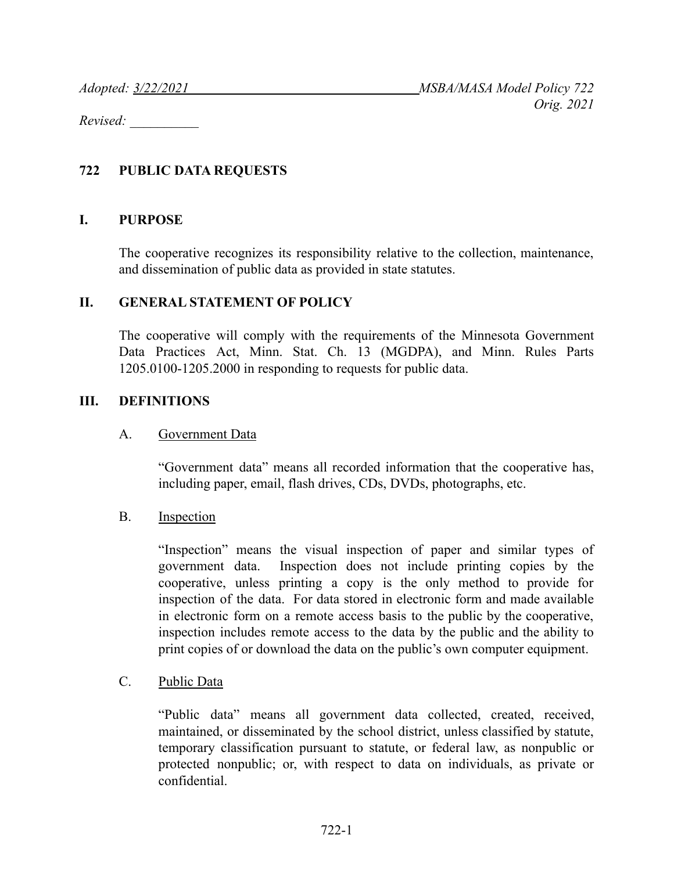*Revised: \_\_\_\_\_\_\_\_\_\_*

### **722 PUBLIC DATA REQUESTS**

#### **I. PURPOSE**

The cooperative recognizes its responsibility relative to the collection, maintenance, and dissemination of public data as provided in state statutes.

### **II. GENERAL STATEMENT OF POLICY**

The cooperative will comply with the requirements of the Minnesota Government Data Practices Act, Minn. Stat. Ch. 13 (MGDPA), and Minn. Rules Parts 1205.0100-1205.2000 in responding to requests for public data.

#### **III. DEFINITIONS**

#### A. Government Data

"Government data" means all recorded information that the cooperative has, including paper, email, flash drives, CDs, DVDs, photographs, etc.

#### B. Inspection

"Inspection" means the visual inspection of paper and similar types of government data. Inspection does not include printing copies by the cooperative, unless printing a copy is the only method to provide for inspection of the data. For data stored in electronic form and made available in electronic form on a remote access basis to the public by the cooperative, inspection includes remote access to the data by the public and the ability to print copies of or download the data on the public's own computer equipment.

#### C. Public Data

"Public data" means all government data collected, created, received, maintained, or disseminated by the school district, unless classified by statute, temporary classification pursuant to statute, or federal law, as nonpublic or protected nonpublic; or, with respect to data on individuals, as private or confidential.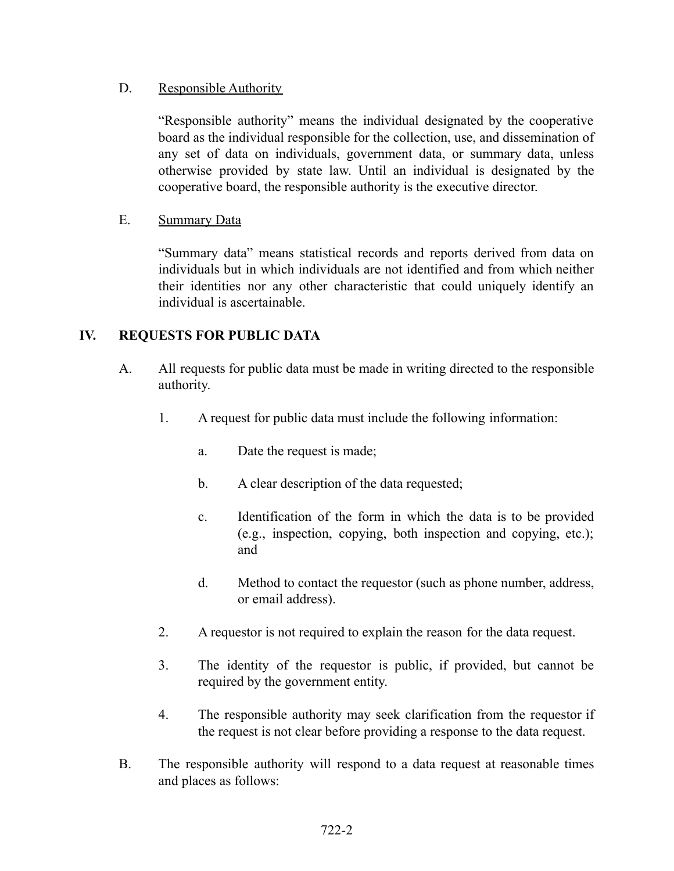# D. Responsible Authority

"Responsible authority" means the individual designated by the cooperative board as the individual responsible for the collection, use, and dissemination of any set of data on individuals, government data, or summary data, unless otherwise provided by state law. Until an individual is designated by the cooperative board, the responsible authority is the executive director.

# E. Summary Data

"Summary data" means statistical records and reports derived from data on individuals but in which individuals are not identified and from which neither their identities nor any other characteristic that could uniquely identify an individual is ascertainable.

# **IV. REQUESTS FOR PUBLIC DATA**

- A. All requests for public data must be made in writing directed to the responsible authority.
	- 1. A request for public data must include the following information:
		- a. Date the request is made;
		- b. A clear description of the data requested;
		- c. Identification of the form in which the data is to be provided (e.g., inspection, copying, both inspection and copying, etc.); and
		- d. Method to contact the requestor (such as phone number, address, or email address).
	- 2. A requestor is not required to explain the reason for the data request.
	- 3. The identity of the requestor is public, if provided, but cannot be required by the government entity.
	- 4. The responsible authority may seek clarification from the requestor if the request is not clear before providing a response to the data request.
- B. The responsible authority will respond to a data request at reasonable times and places as follows: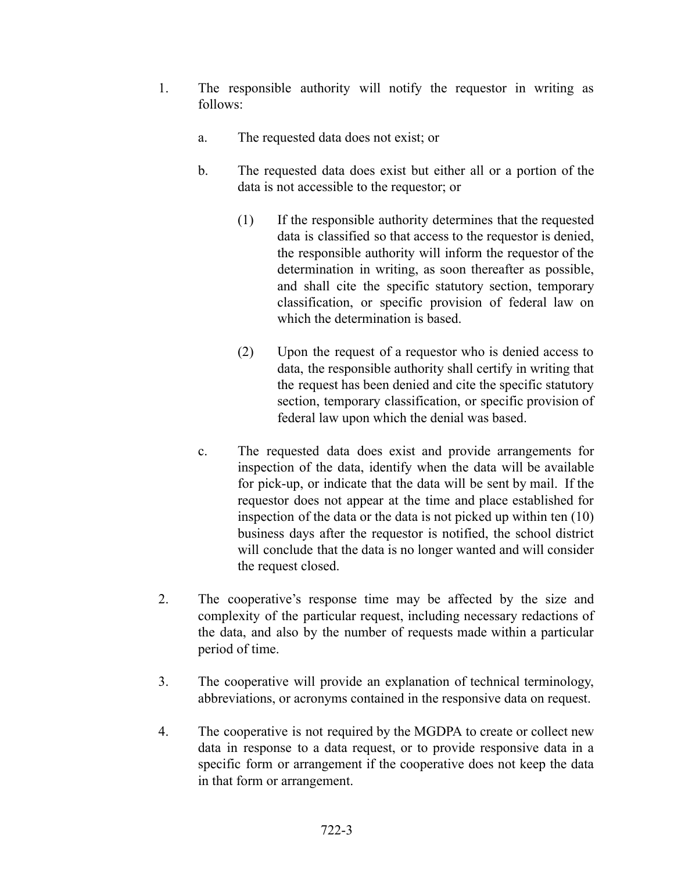- 1. The responsible authority will notify the requestor in writing as follows:
	- a. The requested data does not exist; or
	- b. The requested data does exist but either all or a portion of the data is not accessible to the requestor; or
		- (1) If the responsible authority determines that the requested data is classified so that access to the requestor is denied, the responsible authority will inform the requestor of the determination in writing, as soon thereafter as possible, and shall cite the specific statutory section, temporary classification, or specific provision of federal law on which the determination is based.
		- (2) Upon the request of a requestor who is denied access to data, the responsible authority shall certify in writing that the request has been denied and cite the specific statutory section, temporary classification, or specific provision of federal law upon which the denial was based.
	- c. The requested data does exist and provide arrangements for inspection of the data, identify when the data will be available for pick-up, or indicate that the data will be sent by mail. If the requestor does not appear at the time and place established for inspection of the data or the data is not picked up within ten (10) business days after the requestor is notified, the school district will conclude that the data is no longer wanted and will consider the request closed.
- 2. The cooperative's response time may be affected by the size and complexity of the particular request, including necessary redactions of the data, and also by the number of requests made within a particular period of time.
- 3. The cooperative will provide an explanation of technical terminology, abbreviations, or acronyms contained in the responsive data on request.
- 4. The cooperative is not required by the MGDPA to create or collect new data in response to a data request, or to provide responsive data in a specific form or arrangement if the cooperative does not keep the data in that form or arrangement.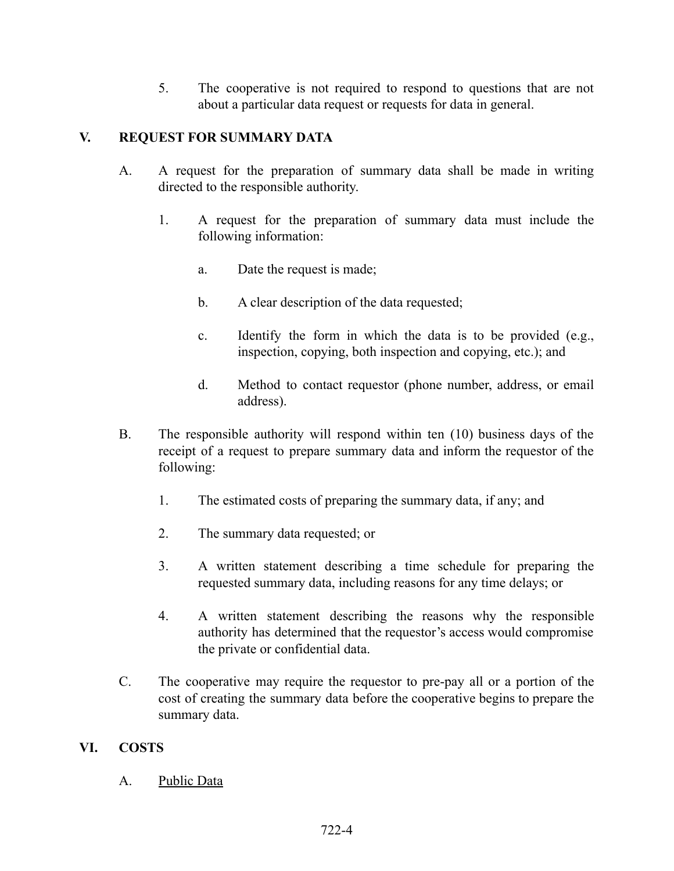5. The cooperative is not required to respond to questions that are not about a particular data request or requests for data in general.

# **V. REQUEST FOR SUMMARY DATA**

- A. A request for the preparation of summary data shall be made in writing directed to the responsible authority.
	- 1. A request for the preparation of summary data must include the following information:
		- a. Date the request is made;
		- b. A clear description of the data requested;
		- c. Identify the form in which the data is to be provided (e.g., inspection, copying, both inspection and copying, etc.); and
		- d. Method to contact requestor (phone number, address, or email address).
- B. The responsible authority will respond within ten (10) business days of the receipt of a request to prepare summary data and inform the requestor of the following:
	- 1. The estimated costs of preparing the summary data, if any; and
	- 2. The summary data requested; or
	- 3. A written statement describing a time schedule for preparing the requested summary data, including reasons for any time delays; or
	- 4. A written statement describing the reasons why the responsible authority has determined that the requestor's access would compromise the private or confidential data.
- C. The cooperative may require the requestor to pre-pay all or a portion of the cost of creating the summary data before the cooperative begins to prepare the summary data.

# **VI. COSTS**

A. Public Data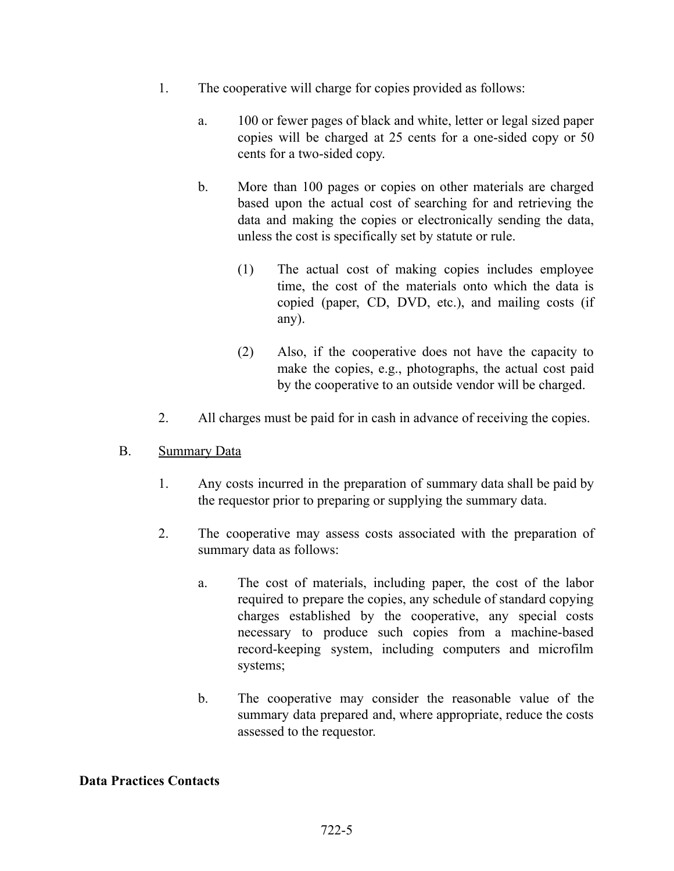- 1. The cooperative will charge for copies provided as follows:
	- a. 100 or fewer pages of black and white, letter or legal sized paper copies will be charged at 25 cents for a one-sided copy or 50 cents for a two-sided copy.
	- b. More than 100 pages or copies on other materials are charged based upon the actual cost of searching for and retrieving the data and making the copies or electronically sending the data, unless the cost is specifically set by statute or rule.
		- (1) The actual cost of making copies includes employee time, the cost of the materials onto which the data is copied (paper, CD, DVD, etc.), and mailing costs (if any).
		- (2) Also, if the cooperative does not have the capacity to make the copies, e.g., photographs, the actual cost paid by the cooperative to an outside vendor will be charged.
- 2. All charges must be paid for in cash in advance of receiving the copies.
- B. Summary Data
	- 1. Any costs incurred in the preparation of summary data shall be paid by the requestor prior to preparing or supplying the summary data.
	- 2. The cooperative may assess costs associated with the preparation of summary data as follows:
		- a. The cost of materials, including paper, the cost of the labor required to prepare the copies, any schedule of standard copying charges established by the cooperative, any special costs necessary to produce such copies from a machine-based record-keeping system, including computers and microfilm systems;
		- b. The cooperative may consider the reasonable value of the summary data prepared and, where appropriate, reduce the costs assessed to the requestor.

### **Data Practices Contacts**